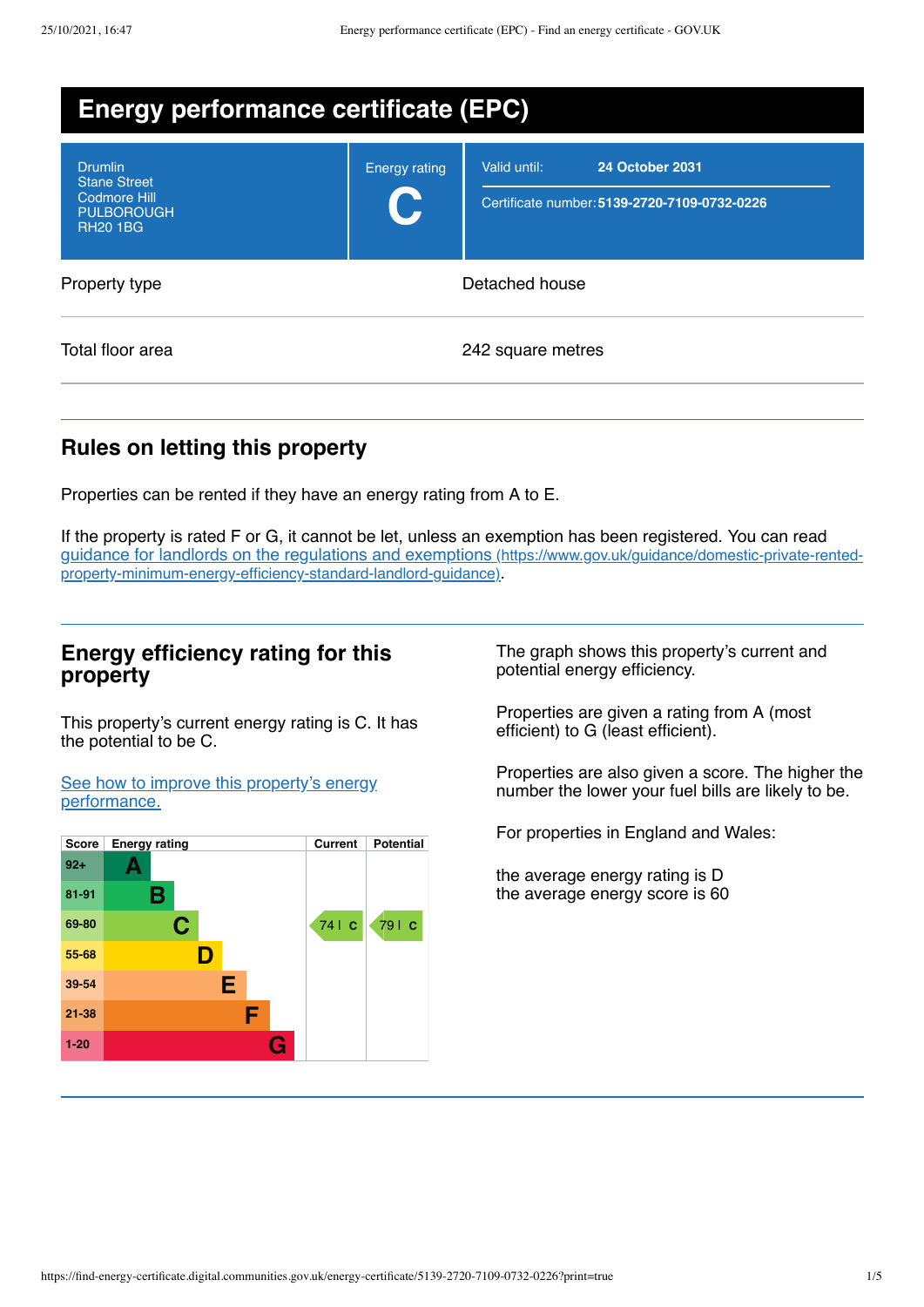| <b>Energy performance certificate (EPC)</b>                                                   |                                        |                                                                                        |  |  |
|-----------------------------------------------------------------------------------------------|----------------------------------------|----------------------------------------------------------------------------------------|--|--|
| <b>Drumlin</b><br><b>Stane Street</b><br>Codmore Hill<br><b>PULBOROUGH</b><br><b>RH20 1BG</b> | <b>Energy rating</b><br>$\blacksquare$ | Valid until:<br><b>24 October 2031</b><br>Certificate number: 5139-2720-7109-0732-0226 |  |  |
| Property type                                                                                 | Detached house                         |                                                                                        |  |  |
| Total floor area                                                                              |                                        | 242 square metres                                                                      |  |  |

## **Rules on letting this property**

Properties can be rented if they have an energy rating from A to E.

If the property is rated F or G, it cannot be let, unless an exemption has been registered. You can read guidance for landlords on the regulations and exemptions (https://www.gov.uk/guidance/domestic-private-rented[property-minimum-energy-efficiency-standard-landlord-guidance\)](https://www.gov.uk/guidance/domestic-private-rented-property-minimum-energy-efficiency-standard-landlord-guidance).

## **Energy efficiency rating for this property**

This property's current energy rating is C. It has the potential to be C.

See how to improve this property's energy [performance.](#page-2-0)



The graph shows this property's current and potential energy efficiency.

Properties are given a rating from A (most efficient) to G (least efficient).

Properties are also given a score. The higher the number the lower your fuel bills are likely to be.

For properties in England and Wales:

the average energy rating is D the average energy score is 60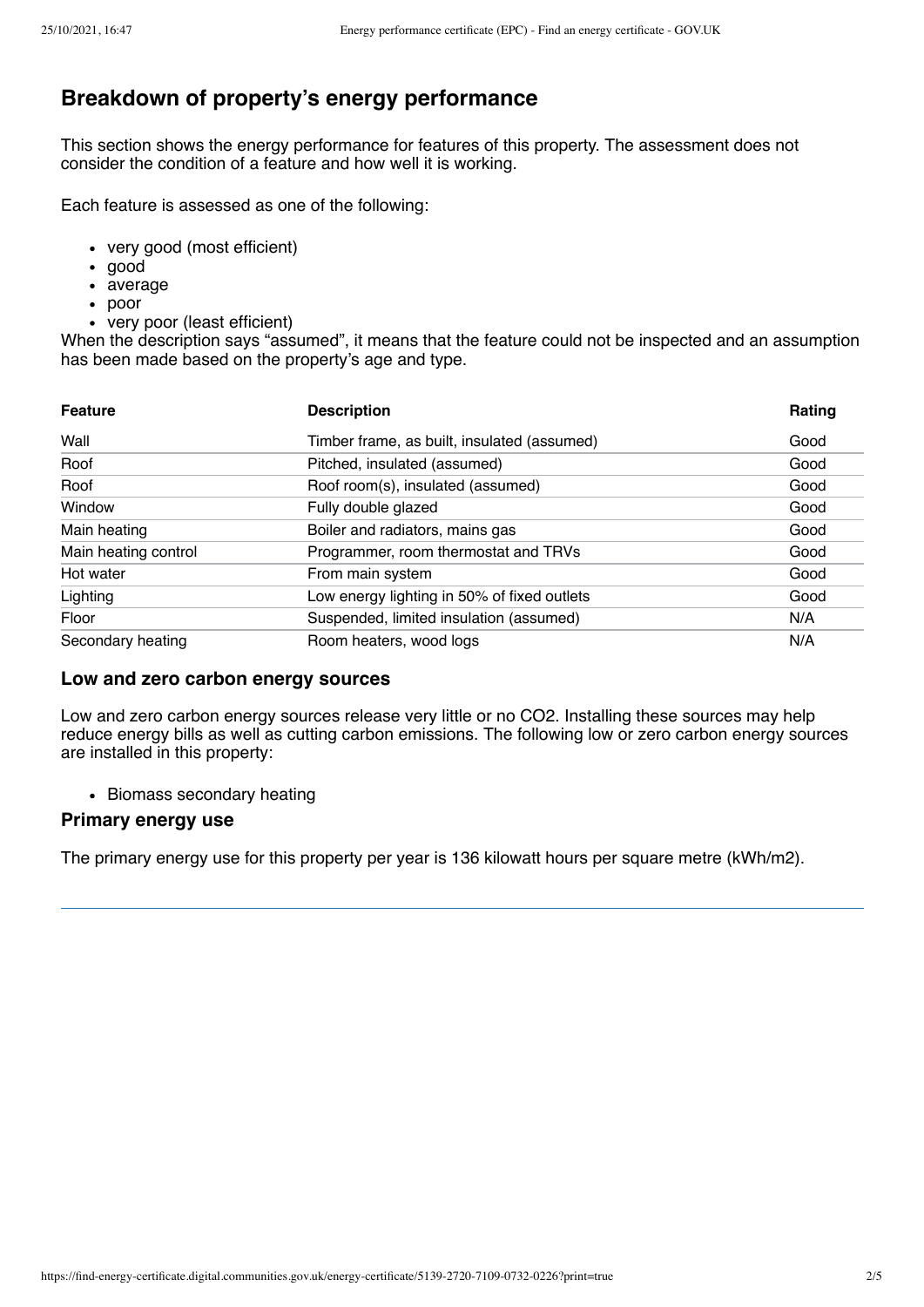# **Breakdown of property's energy performance**

This section shows the energy performance for features of this property. The assessment does not consider the condition of a feature and how well it is working.

Each feature is assessed as one of the following:

- very good (most efficient)
- good
- average
- poor
- very poor (least efficient)

When the description says "assumed", it means that the feature could not be inspected and an assumption has been made based on the property's age and type.

| <b>Feature</b>       | <b>Description</b>                          | Rating |
|----------------------|---------------------------------------------|--------|
| Wall                 | Timber frame, as built, insulated (assumed) | Good   |
| Roof                 | Pitched, insulated (assumed)                | Good   |
| Roof                 | Roof room(s), insulated (assumed)           | Good   |
| Window               | Fully double glazed                         | Good   |
| Main heating         | Boiler and radiators, mains gas             | Good   |
| Main heating control | Programmer, room thermostat and TRVs        | Good   |
| Hot water            | From main system                            | Good   |
| Lighting             | Low energy lighting in 50% of fixed outlets | Good   |
| Floor                | Suspended, limited insulation (assumed)     | N/A    |
| Secondary heating    | Room heaters, wood logs                     | N/A    |

#### **Low and zero carbon energy sources**

Low and zero carbon energy sources release very little or no CO2. Installing these sources may help reduce energy bills as well as cutting carbon emissions. The following low or zero carbon energy sources are installed in this property:

• Biomass secondary heating

#### **Primary energy use**

The primary energy use for this property per year is 136 kilowatt hours per square metre (kWh/m2).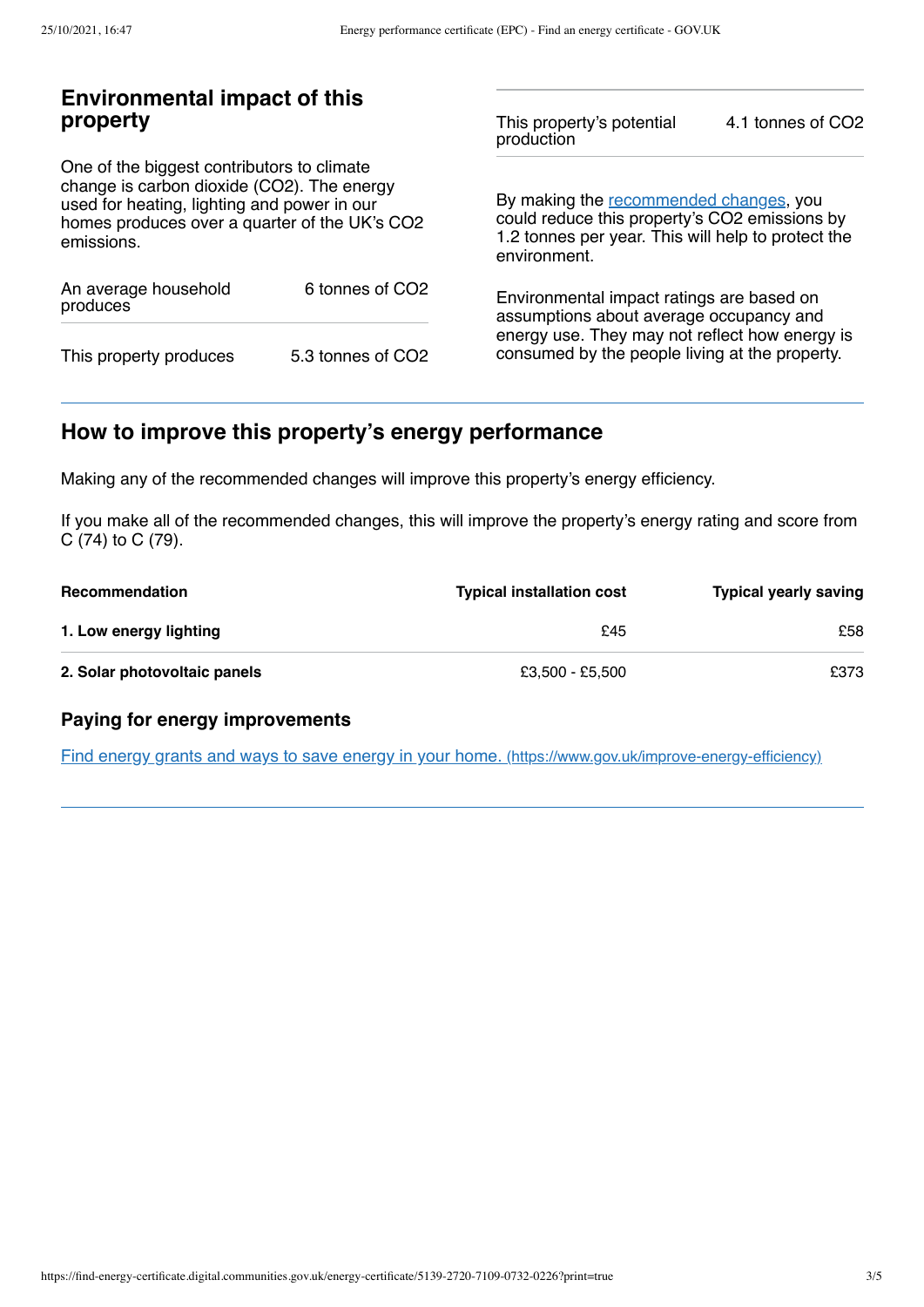## **Environmental impact of this property**

One of the biggest contributors to climate change is carbon dioxide (CO2). The energy used for heating, lighting and power in our homes produces over a quarter of the UK's CO2 emissions.

| An average household<br>produces | 6 tonnes of CO <sub>2</sub> |  |
|----------------------------------|-----------------------------|--|
| This property produces           | 5.3 tonnes of CO2           |  |

This property's potential production 4.1 tonnes of CO2

By making the [recommended](#page-2-0) changes, you could reduce this property's CO2 emissions by 1.2 tonnes per year. This will help to protect the environment.

Environmental impact ratings are based on assumptions about average occupancy and energy use. They may not reflect how energy is consumed by the people living at the property.

# <span id="page-2-0"></span>**How to improve this property's energy performance**

Making any of the recommended changes will improve this property's energy efficiency.

If you make all of the recommended changes, this will improve the property's energy rating and score from C (74) to C (79).

| <b>Recommendation</b>        | <b>Typical installation cost</b> | <b>Typical yearly saving</b> |
|------------------------------|----------------------------------|------------------------------|
| 1. Low energy lighting       | £45                              | £58                          |
| 2. Solar photovoltaic panels | £3,500 - £5,500                  | £373                         |

### **Paying for energy improvements**

Find energy grants and ways to save energy in your home. [\(https://www.gov.uk/improve-energy-efficiency\)](https://www.gov.uk/improve-energy-efficiency)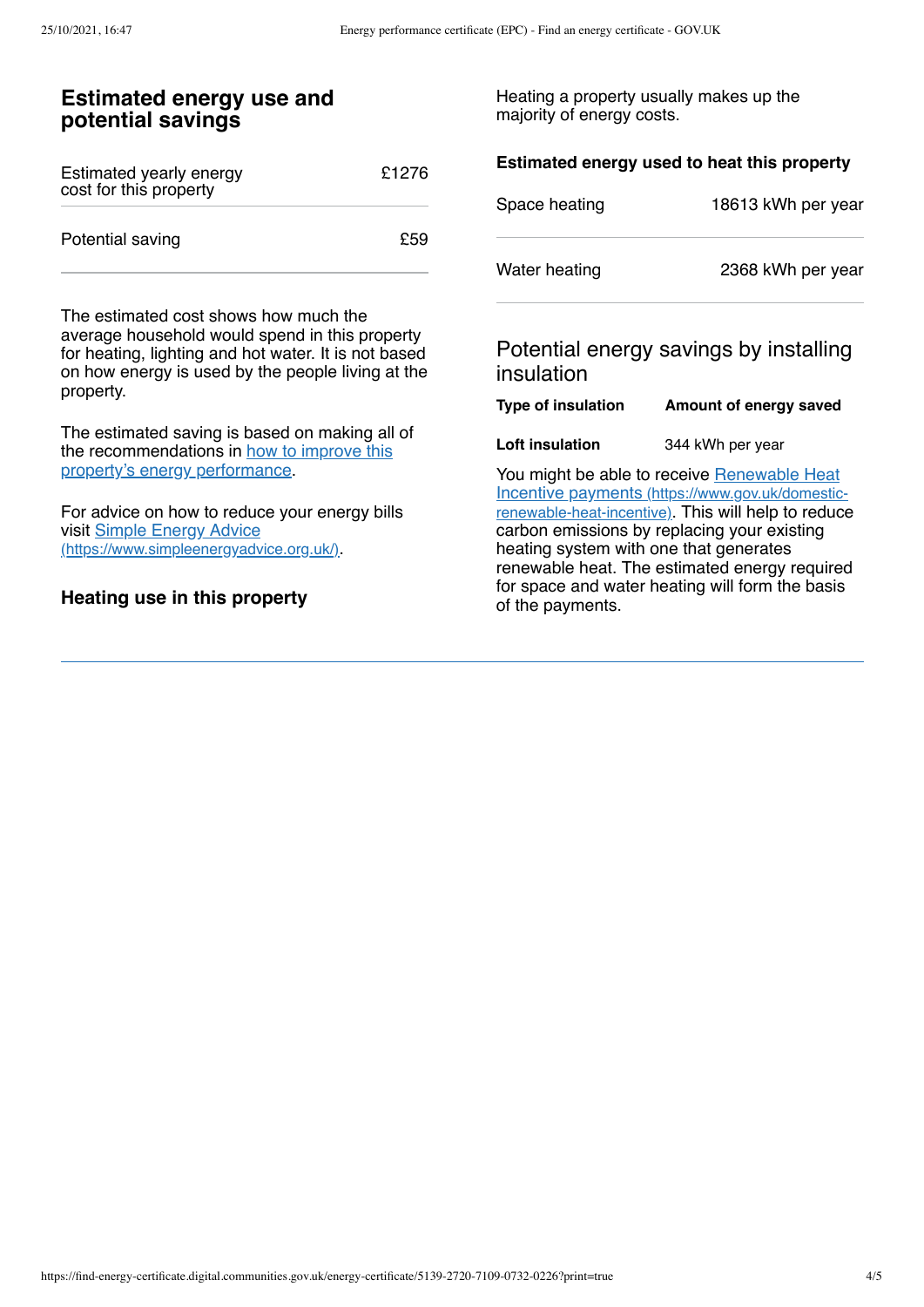## **Estimated energy use and potential savings**

| Estimated yearly energy<br>cost for this property | £1276 |
|---------------------------------------------------|-------|
| Potential saving                                  | £59   |

The estimated cost shows how much the average household would spend in this property for heating, lighting and hot water. It is not based on how energy is used by the people living at the property.

The estimated saving is based on making all of the [recommendations](#page-2-0) in how to improve this property's energy performance.

For advice on how to reduce your energy bills visit Simple Energy Advice [\(https://www.simpleenergyadvice.org.uk/\)](https://www.simpleenergyadvice.org.uk/).

### **Heating use in this property**

Heating a property usually makes up the majority of energy costs.

| Estimated energy used to heat this property |                                        |  |
|---------------------------------------------|----------------------------------------|--|
| Space heating                               | 18613 kWh per year                     |  |
| Water heating                               | 2368 kWh per year                      |  |
| insulation                                  | Potential energy savings by installing |  |
| <b>Type of insulation</b>                   | Amount of energy saved                 |  |
| Loft insulation                             | 344 kWh per year                       |  |

You might be able to receive Renewable Heat Incentive payments [\(https://www.gov.uk/domestic](https://www.gov.uk/domestic-renewable-heat-incentive)renewable-heat-incentive). This will help to reduce carbon emissions by replacing your existing heating system with one that generates renewable heat. The estimated energy required for space and water heating will form the basis of the payments.